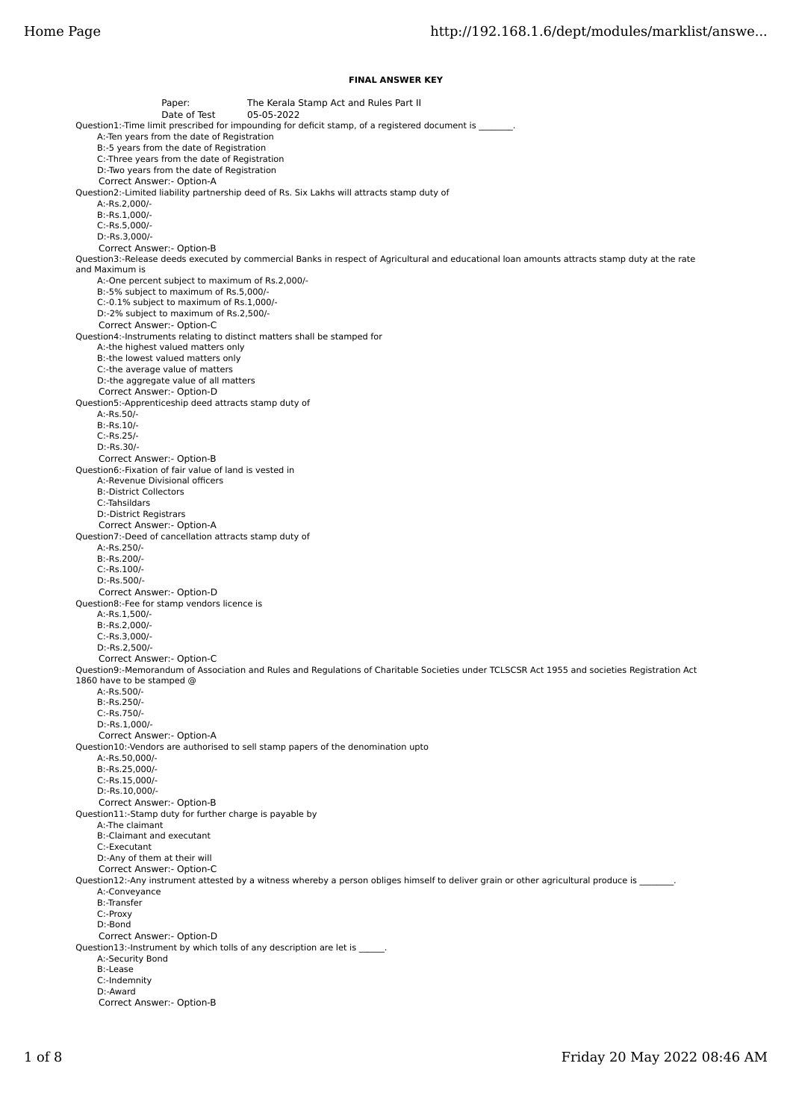## **FINAL ANSWER KEY**

Paper: The Kerala Stamp Act and Rules Part II Date of Test 05-05-2022 Question1:-Time limit prescribed for impounding for deficit stamp, of a registered document is \_\_\_\_ A:-Ten years from the date of Registration B:-5 years from the date of Registration C:-Three years from the date of Registration D:-Two years from the date of Registration Correct Answer:- Option-A Question2:-Limited liability partnership deed of Rs. Six Lakhs will attracts stamp duty of A:-Rs.2,000/- B:-Rs.1,000/- C:-Rs.5,000/- D:-Rs.3,000/- Correct Answer:- Option-B Question3:-Release deeds executed by commercial Banks in respect of Agricultural and educational loan amounts attracts stamp duty at the rate and Maximum is A:-One percent subject to maximum of Rs.2,000/- B:-5% subject to maximum of Rs.5,000/- C:-0.1% subject to maximum of Rs.1,000/- D:-2% subject to maximum of Rs.2,500/- Correct Answer:- Option-C Question4:-Instruments relating to distinct matters shall be stamped for A:-the highest valued matters only B:-the lowest valued matters only C:-the average value of matters D:-the aggregate value of all matters Correct Answer:- Option-D Question5:-Apprenticeship deed attracts stamp duty of A:-Rs.50/- B:-Rs.10/- C:-Rs.25/- D:-Rs.30/- Correct Answer:- Option-B Question6:-Fixation of fair value of land is vested in A:-Revenue Divisional officers B:-District Collectors C:-Tahsildars D:-District Registrars Correct Answer:- Option-A Question7:-Deed of cancellation attracts stamp duty of A:-Rs.250/- B:-Rs.200/- C:-Rs.100/- D:-Rs.500/- Correct Answer:- Option-D Question8:-Fee for stamp vendors licence is A:-Rs.1,500/- B:-Rs.2,000/- C:-Rs.3,000/- D:-Rs.2,500/- Correct Answer:- Option-C Question9:-Memorandum of Association and Rules and Regulations of Charitable Societies under TCLSCSR Act 1955 and societies Registration Act 1860 have to be stamped @ A:-Rs.500/- B:-Rs.250/- C:-Rs.750/- D:-Rs.1,000/- Correct Answer:- Option-A Question10:-Vendors are authorised to sell stamp papers of the denomination upto A:-Rs.50,000/- B:-Rs.25,000/- C:-Rs.15,000/- D:-Rs.10,000/- Correct Answer:- Option-B Question11:-Stamp duty for further charge is payable by A:-The claimant B:-Claimant and executant C:-Executant D:-Any of them at their will Correct Answer:- Option-C Question12:-Any instrument attested by a witness whereby a person obliges himself to deliver grain or other agricultural produce is \_ A:-Conveyance B:-Transfer C:-Proxy D:-Bond Correct Answer:- Option-D Question13:-Instrument by which tolls of any description are let is \_\_\_\_\_\_. A:-Security Bond B:-Lease C:-Indemnity D:-Award Correct Answer:- Option-B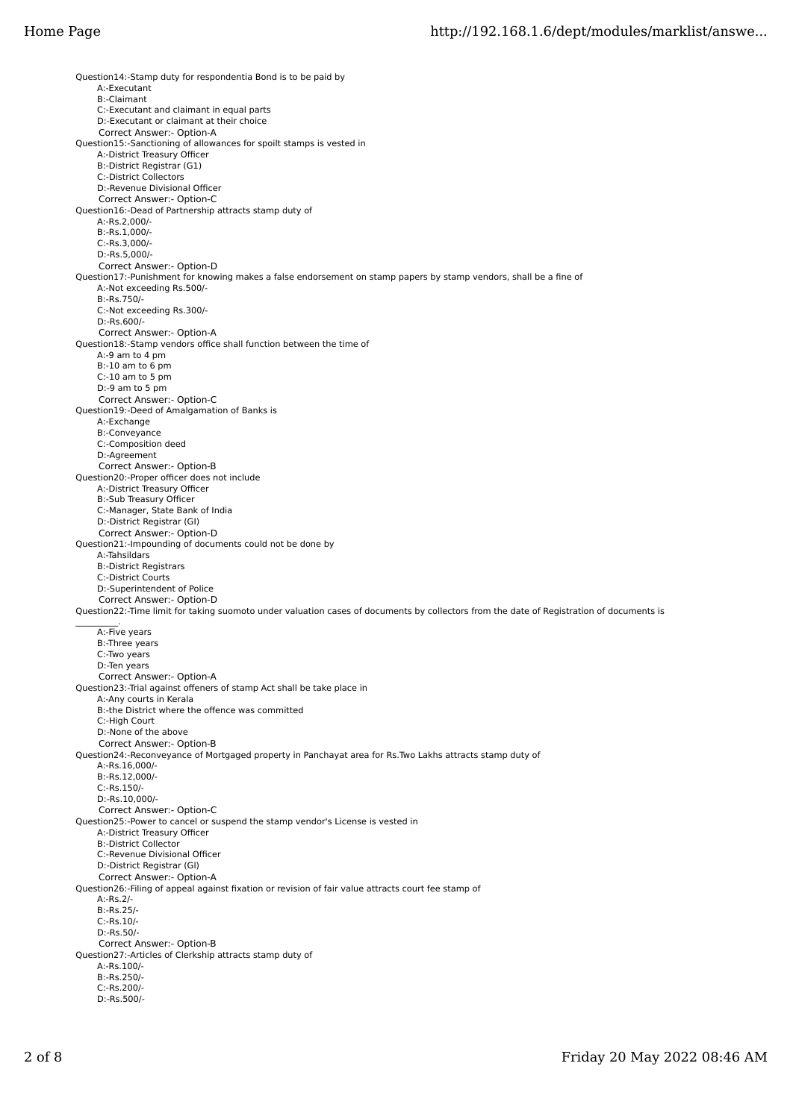Question14:-Stamp duty for respondentia Bond is to be paid by A:-Executant B:-Claimant C:-Executant and claimant in equal parts D:-Executant or claimant at their choice Correct Answer:- Option-A Question15:-Sanctioning of allowances for spoilt stamps is vested in A:-District Treasury Officer B:-District Registrar (G1) C:-District Collectors D:-Revenue Divisional Officer Correct Answer:- Option-C Question16:-Dead of Partnership attracts stamp duty of A:-Rs.2,000/- B:-Rs.1,000/- C:-Rs.3,000/- D:-Rs.5,000/- Correct Answer:- Option-D Question17:-Punishment for knowing makes a false endorsement on stamp papers by stamp vendors, shall be a fine of A:-Not exceeding Rs.500/- B:-Rs.750/- C:-Not exceeding Rs.300/- D:-Rs.600/- Correct Answer:- Option-A Question18:-Stamp vendors office shall function between the time of A:-9 am to 4 pm B:-10 am to 6 pm  $C:10$  am to 5 pm D:-9 am to 5 pm Correct Answer:- Option-C Question19:-Deed of Amalgamation of Banks is A:-Exchange B:-Conveyance C:-Composition deed D:-Agreement Correct Answer:- Option-B Question20:-Proper officer does not include A:-District Treasury Officer B:-Sub Treasury Officer C:-Manager, State Bank of India D:-District Registrar (GI) Correct Answer:- Option-D Question21:-Impounding of documents could not be done by A:-Tahsildars B:-District Registrars C:-District Courts D:-Superintendent of Police Correct Answer:- Option-D Question22:-Time limit for taking suomoto under valuation cases of documents by collectors from the date of Registration of documents is  $\sim$   $\sim$   $\sim$  A:-Five years B:-Three years C:-Two years D:-Ten years Correct Answer:- Option-A Question23:-Trial against offeners of stamp Act shall be take place in A:-Any courts in Kerala B:-the District where the offence was committed C:-High Court D:-None of the above Correct Answer:- Option-B Question24:-Reconveyance of Mortgaged property in Panchayat area for Rs.Two Lakhs attracts stamp duty of A:-Rs.16,000/- B:-Rs.12,000/- C:-Rs.150/- D:-Rs.10,000/- Correct Answer:- Option-C Question25:-Power to cancel or suspend the stamp vendor's License is vested in A:-District Treasury Officer B:-District Collector C:-Revenue Divisional Officer D:-District Registrar (Gl) Correct Answer:- Option-A Question26:-Filing of appeal against fixation or revision of fair value attracts court fee stamp of A:-Rs.2/- B:-Rs.25/- C:-Rs.10/- D:-Rs.50/- Correct Answer:- Option-B Question27:-Articles of Clerkship attracts stamp duty of A:-Rs.100/- B:-Rs.250/- C:-Rs.200/- D:-Rs.500/-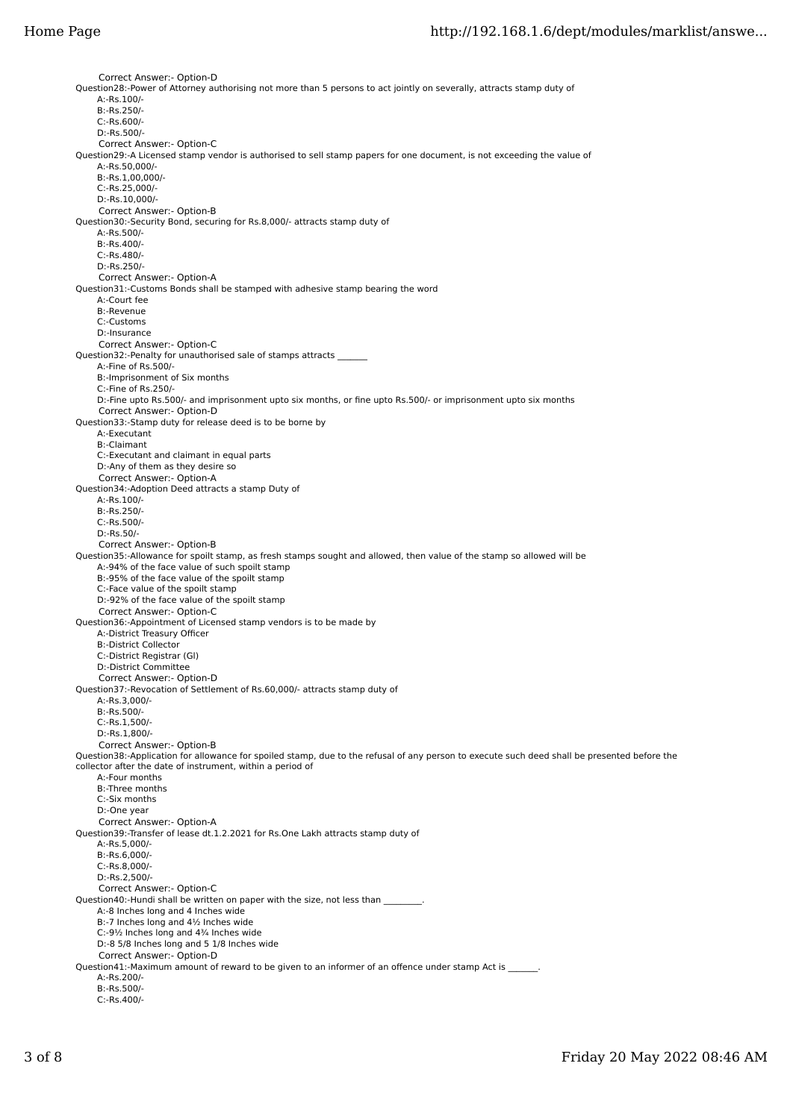Correct Answer:- Option-D Question28:-Power of Attorney authorising not more than 5 persons to act jointly on severally, attracts stamp duty of A:-Rs.100/- B:-Rs.250/- C:-Rs.600/- D:-Rs.500/- Correct Answer:- Option-C Question29:-A Licensed stamp vendor is authorised to sell stamp papers for one document, is not exceeding the value of A:-Rs.50,000/- B:-Rs.1,00,000/- C:-Rs.25,000/- D:-Rs.10,000/- Correct Answer:- Option-B Question30:-Security Bond, securing for Rs.8,000/- attracts stamp duty of A:-Rs.500/-  $B - R \leq 400/$ - C:-Rs.480/- D:-Rs.250/- Correct Answer:- Option-A Question31:-Customs Bonds shall be stamped with adhesive stamp bearing the word A:-Court fee B:-Revenue C:-Customs D:-Insurance Correct Answer:- Option-C Question32:-Penalty for unauthorised sale of stamps attracts A:-Fine of Rs.500/- B:-Imprisonment of Six months C:-Fine of Rs.250/- D:-Fine upto Rs.500/- and imprisonment upto six months, or fine upto Rs.500/- or imprisonment upto six months Correct Answer:- Option-D Question33:-Stamp duty for release deed is to be borne by A:-Executant B:-Claimant C:-Executant and claimant in equal parts D:-Any of them as they desire so Correct Answer:- Option-A Question34:-Adoption Deed attracts a stamp Duty of A:-Rs.100/- B:-Rs.250/- C:-Rs.500/- D:-Rs.50/- Correct Answer:- Option-B Question35:-Allowance for spoilt stamp, as fresh stamps sought and allowed, then value of the stamp so allowed will be A:-94% of the face value of such spoilt stamp B:-95% of the face value of the spoilt stamp C:-Face value of the spoilt stamp D:-92% of the face value of the spoilt stamp Correct Answer:- Option-C Question36:-Appointment of Licensed stamp vendors is to be made by A:-District Treasury Officer B:-District Collector C:-District Registrar (Gl) D:-District Committee Correct Answer:- Option-D Question37:-Revocation of Settlement of Rs.60,000/- attracts stamp duty of A:-Rs.3,000/- B:-Rs.500/- C:-Rs.1,500/- D:-Rs.1,800/- Correct Answer:- Option-B Question38:-Application for allowance for spoiled stamp, due to the refusal of any person to execute such deed shall be presented before the collector after the date of instrument, within a period of A:-Four months B:-Three months C:-Six months D:-One year Correct Answer:- Option-A Question39:-Transfer of lease dt.1.2.2021 for Rs.One Lakh attracts stamp duty of A:-Rs.5,000/- B:-Rs.6,000/- C:-Rs.8,000/- D:-Rs.2,500/- Correct Answer:- Option-C Question40:-Hundi shall be written on paper with the size, not less than A:-8 Inches long and 4 Inches wide B:-7 Inches long and 4½ Inches wide C:-9½ Inches long and 4¾ Inches wide D:-8 5/8 Inches long and 5 1/8 Inches wide Correct Answer:- Option-D Question41:-Maximum amount of reward to be given to an informer of an offence under stamp Act is \_ A:-Rs.200/- B:-Rs.500/- C:-Rs.400/-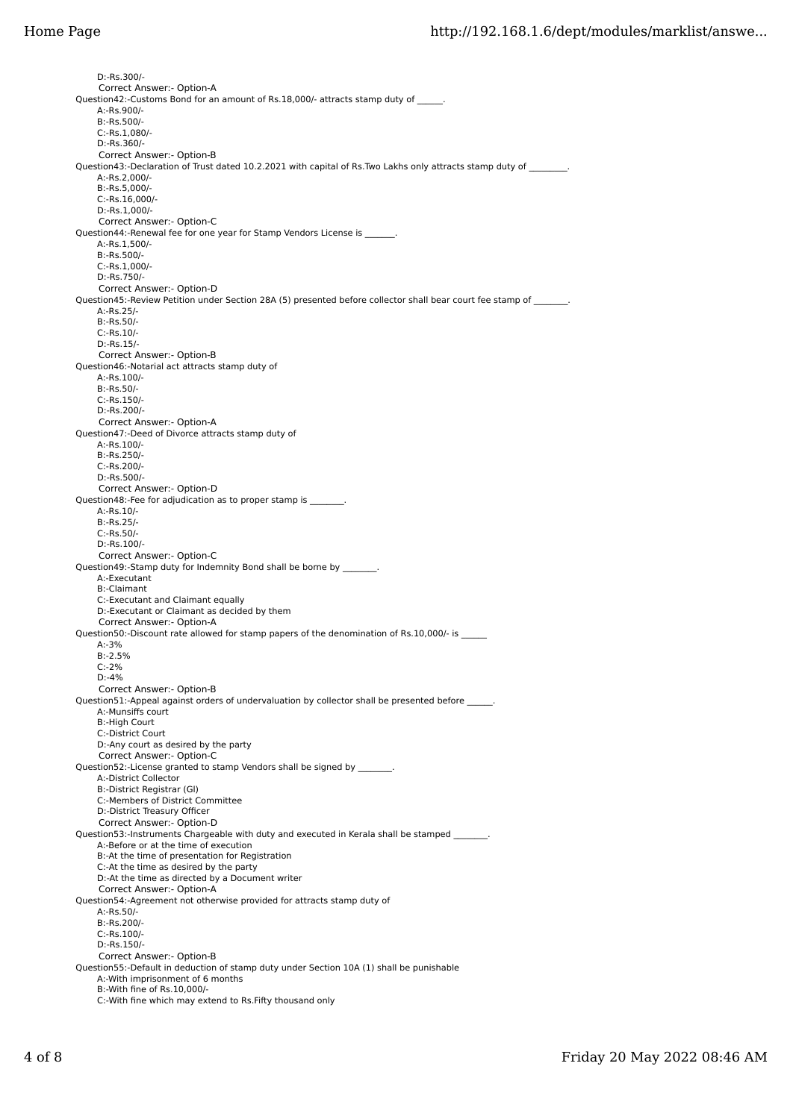D:-Rs.300/- Correct Answer:- Option-A Question42:-Customs Bond for an amount of Rs.18,000/- attracts stamp duty of \_\_\_\_ A:-Rs.900/- B:-Rs.500/- C:-Rs.1,080/- D:-Rs.360/- Correct Answer:- Option-B Question43:-Declaration of Trust dated 10.2.2021 with capital of Rs.Two Lakhs only attracts stamp duty of \_\_\_ A:-Rs.2,000/- B:-Rs.5,000/- C:-Rs.16,000/- D:-Rs.1,000/- Correct Answer:- Option-C Question44:-Renewal fee for one year for Stamp Vendors License is  $A - Rs$  1,500/- B:-Rs.500/- C:-Rs.1,000/- D:-Rs.750/- Correct Answer:- Option-D Question45:-Review Petition under Section 28A (5) presented before collector shall bear court fee stamp of A:-Rs.25/- B:-Rs.50/- C:-Rs.10/- D:-Rs.15/- Correct Answer:- Option-B Question46:-Notarial act attracts stamp duty of A:-Rs.100/- B:-Rs.50/- C:-Rs.150/- D:-Rs.200/- Correct Answer:- Option-A Question47:-Deed of Divorce attracts stamp duty of A:-Rs.100/- B:-Rs.250/- C:-Rs.200/- D:-Rs.500/- Correct Answer:- Option-D Question48:-Fee for adjudication as to proper stamp is \_\_\_\_\_\_\_\_\_\_\_\_\_\_\_\_\_\_\_\_\_\_\_\_\_ A:-Rs.10/- B:-Rs.25/- C:-Rs.50/- D:-Rs.100/- Correct Answer:- Option-C Question49:-Stamp duty for Indemnity Bond shall be borne by \_\_\_\_\_\_\_\_\_\_\_\_\_\_\_\_\_\_\_\_ A:-Executant B:-Claimant C:-Executant and Claimant equally D:-Executant or Claimant as decided by them Correct Answer:- Option-A Question50:-Discount rate allowed for stamp papers of the denomination of Rs.10,000/- is \_\_\_\_\_\_\_\_\_\_\_ A:-3% B:-2.5% C:-2% D:-4% Correct Answer:- Option-B Question51:-Appeal against orders of undervaluation by collector shall be presented before \_ A:-Munsiffs court B:-High Court C:-District Court D:-Any court as desired by the party Correct Answer:- Option-C Question52:-License granted to stamp Vendors shall be signed by \_\_\_\_\_\_ A:-District Collector B:-District Registrar (Gl) C:-Members of District Committee D:-District Treasury Officer Correct Answer:- Option-D Question53:-Instruments Chargeable with duty and executed in Kerala shall be stamped \_ A:-Before or at the time of execution B:-At the time of presentation for Registration C:-At the time as desired by the party D:-At the time as directed by a Document writer Correct Answer:- Option-A Question54:-Agreement not otherwise provided for attracts stamp duty of A:-Rs.50/- B:-Rs.200/- C:-Rs.100/- D:-Rs.150/- Correct Answer:- Option-B Question55:-Default in deduction of stamp duty under Section 10A (1) shall be punishable A:-With imprisonment of 6 months B:-With fine of Rs.10,000/- C:-With fine which may extend to Rs.Fifty thousand only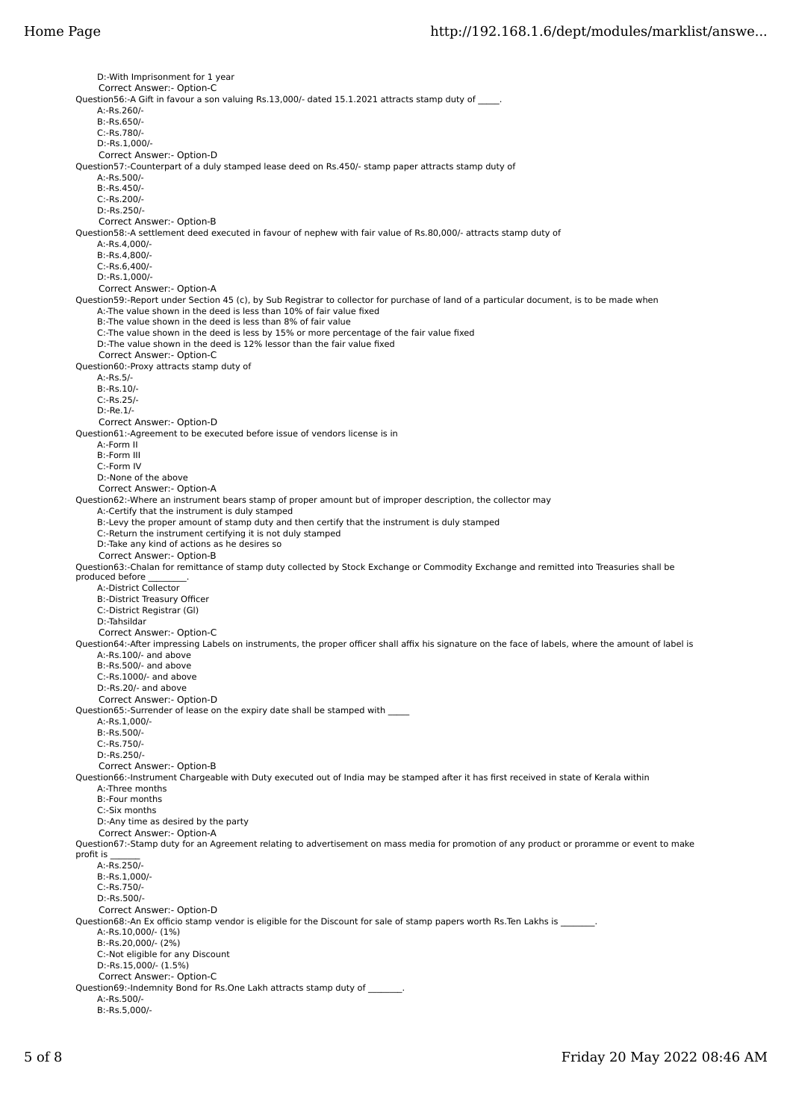D:-With Imprisonment for 1 year Correct Answer:- Option-C Question56:-A Gift in favour a son valuing Rs.13,000/- dated 15.1.2021 attracts stamp duty of A:-Rs.260/- B:-Rs.650/- C:-Rs.780/- D:-Rs.1,000/- Correct Answer:- Option-D Question57:-Counterpart of a duly stamped lease deed on Rs.450/- stamp paper attracts stamp duty of A:-Rs.500/-  $B - Rs$ .450/- C:-Rs.200/- D:-Rs.250/- Correct Answer:- Option-B Question58:-A settlement deed executed in favour of nephew with fair value of Rs.80,000/- attracts stamp duty of  $A - R \leq A$ , 000/- B:-Rs.4,800/- C:-Rs.6,400/- D:-Rs.1,000/- Correct Answer:- Option-A Question59:-Report under Section 45 (c), by Sub Registrar to collector for purchase of land of a particular document, is to be made when A:-The value shown in the deed is less than 10% of fair value fixed B:-The value shown in the deed is less than 8% of fair value C:-The value shown in the deed is less by 15% or more percentage of the fair value fixed D:-The value shown in the deed is 12% lessor than the fair value fixed Correct Answer:- Option-C Question60:-Proxy attracts stamp duty of A:-Rs.5/- B:-Rs.10/- C:-Rs.25/- D:-Re.1/- Correct Answer:- Option-D Question61:-Agreement to be executed before issue of vendors license is in A:-Form II B:-Form III C:-Form IV D:-None of the above Correct Answer:- Option-A Question62:-Where an instrument bears stamp of proper amount but of improper description, the collector may A:-Certify that the instrument is duly stamped B:-Levy the proper amount of stamp duty and then certify that the instrument is duly stamped C:-Return the instrument certifying it is not duly stamped D:-Take any kind of actions as he desires so Correct Answer:- Option-B Question63:-Chalan for remittance of stamp duty collected by Stock Exchange or Commodity Exchange and remitted into Treasuries shall be produced before A:-District Collector B:-District Treasury Officer C:-District Registrar (Gl) D:-Tahsildar Correct Answer:- Option-C Question64:-After impressing Labels on instruments, the proper officer shall affix his signature on the face of labels, where the amount of label is A:-Rs.100/- and above B:-Rs.500/- and above C:-Rs.1000/- and above D:-Rs.20/- and above Correct Answer:- Option-D Question65:-Surrender of lease on the expiry date shall be stamped with A:-Rs.1,000/- B:-Rs.500/- C:-Rs.750/- D:-Rs.250/- Correct Answer:- Option-B Question66:-Instrument Chargeable with Duty executed out of India may be stamped after it has first received in state of Kerala within A:-Three months B:-Four months C:-Six months D:-Any time as desired by the party Correct Answer:- Option-A Question67:-Stamp duty for an Agreement relating to advertisement on mass media for promotion of any product or proramme or event to make profit is A:-Rs.250/- B:-Rs.1,000/- C:-Rs.750/- D:-Rs.500/- Correct Answer:- Option-D Question68:-An Ex officio stamp vendor is eligible for the Discount for sale of stamp papers worth Rs.Ten Lakhs is \_ A:-Rs.10,000/- (1%) B:-Rs.20,000/- (2%) C:-Not eligible for any Discount D:-Rs.15,000/- (1.5%) Correct Answer:- Option-C Question69:-Indemnity Bond for Rs.One Lakh attracts stamp duty of \_\_\_\_ A:-Rs.500/- B:-Rs.5,000/-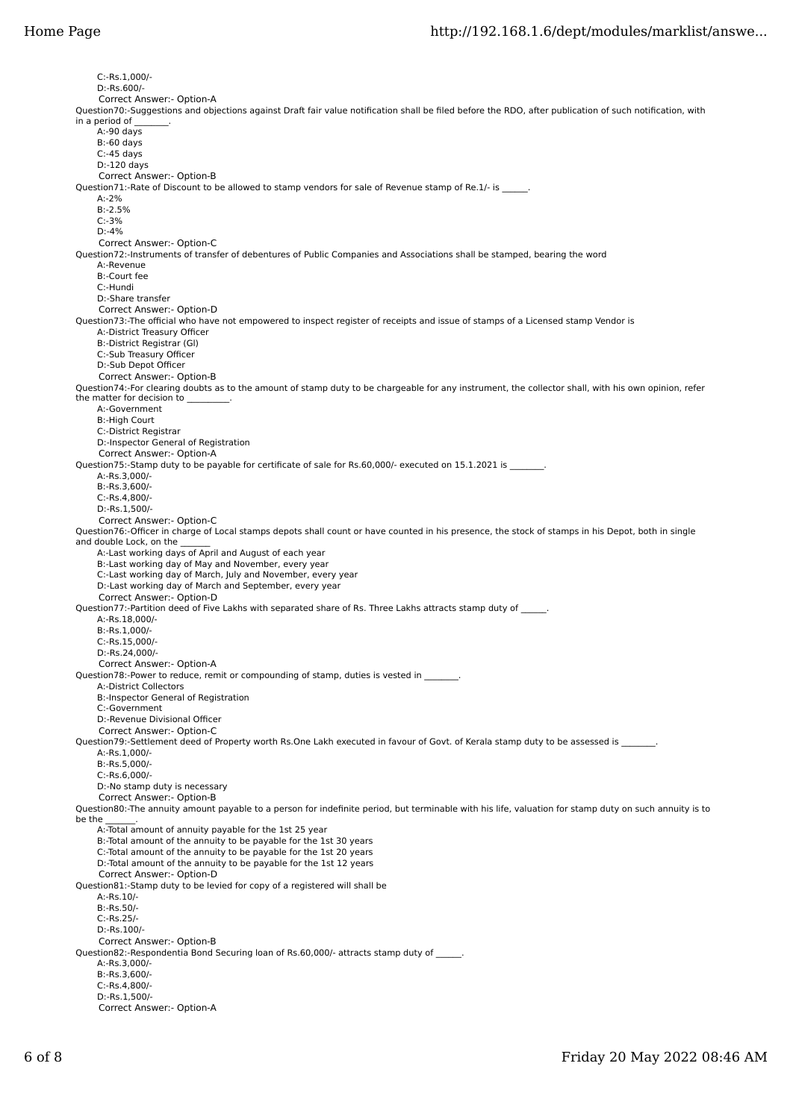C:-Rs.1,000/- D:-Rs.600/- Correct Answer:- Option-A Question70:-Suggestions and objections against Draft fair value notification shall be filed before the RDO, after publication of such notification, with in a period of .<br>A:-90 davs B:-60 days  $C$ :-45 days D:-120 days Correct Answer:- Option-B Question71:-Rate of Discount to be allowed to stamp vendors for sale of Revenue stamp of Re.1/- is A:-2% B:-2.5% C:-3% D:-4% Correct Answer:- Option-C Question72:-Instruments of transfer of debentures of Public Companies and Associations shall be stamped, bearing the word A:-Revenue B:-Court fee C:-Hundi D:-Share transfer Correct Answer:- Option-D Question73:-The official who have not empowered to inspect register of receipts and issue of stamps of a Licensed stamp Vendor is A:-District Treasury Officer B:-District Registrar (Gl) C:-Sub Treasury Officer D:-Sub Depot Officer Correct Answer:- Option-B Question74:-For clearing doubts as to the amount of stamp duty to be chargeable for any instrument, the collector shall, with his own opinion, refer the matter for decision to A:-Government B:-High Court C:-District Registrar D:-Inspector General of Registration Correct Answer:- Option-A Question75:-Stamp duty to be payable for certificate of sale for Rs.60,000/- executed on 15.1.2021 is \_\_\_\_\_\_\_\_ A:-Rs.3,000/- B:-Rs.3,600/- C:-Rs.4,800/- D:-Rs.1,500/- Correct Answer:- Option-C Question76:-Officer in charge of Local stamps depots shall count or have counted in his presence, the stock of stamps in his Depot, both in single and double Lock, on the A:-Last working days of April and August of each year B:-Last working day of May and November, every year C:-Last working day of March, July and November, every year D:-Last working day of March and September, every year Correct Answer:- Option-D Question77:-Partition deed of Five Lakhs with separated share of Rs. Three Lakhs attracts stamp duty of A:-Rs.18,000/- B:-Rs.1,000/- C:-Rs.15,000/- D:-Rs.24,000/- Correct Answer:- Option-A Question78:-Power to reduce, remit or compounding of stamp, duties is vested in \_\_\_\_ A:-District Collectors B:-Inspector General of Registration C:-Government D:-Revenue Divisional Officer Correct Answer:- Option-C Question79:-Settlement deed of Property worth Rs.One Lakh executed in favour of Govt. of Kerala stamp duty to be assessed is \_ A:-Rs.1,000/- B:-Rs.5,000/- C:-Rs.6,000/- D:-No stamp duty is necessary Correct Answer:- Option-B Question80:-The annuity amount payable to a person for indefinite period, but terminable with his life, valuation for stamp duty on such annuity is to be the A:-Total amount of annuity payable for the 1st 25 year B:-Total amount of the annuity to be payable for the 1st 30 years C:-Total amount of the annuity to be payable for the 1st 20 years D:-Total amount of the annuity to be payable for the 1st 12 years Correct Answer:- Option-D Question81:-Stamp duty to be levied for copy of a registered will shall be A:-Rs.10/- B:-Rs.50/- C:-Rs.25/- D:-Rs.100/- Correct Answer:- Option-B Question82:-Respondentia Bond Securing loan of Rs.60,000/- attracts stamp duty of \_\_\_\_\_\_. A:-Rs.3,000/- B:-Rs.3,600/- C:-Rs.4,800/- D:-Rs.1,500/- Correct Answer:- Option-A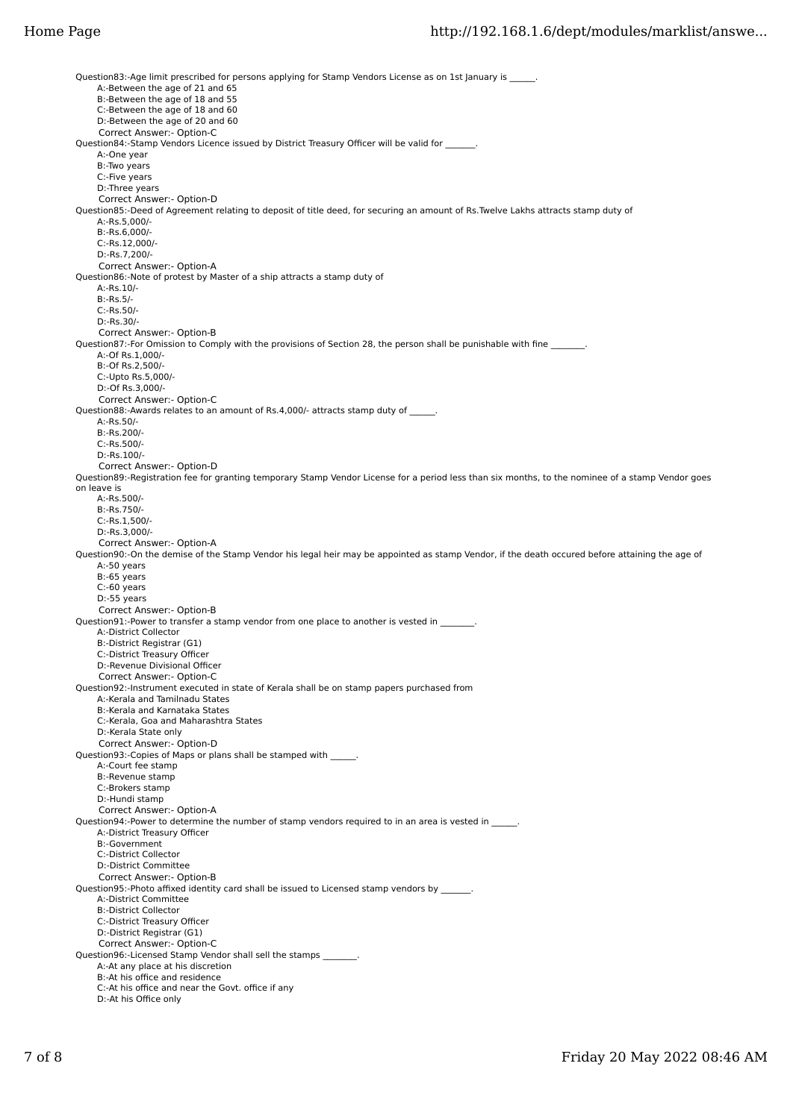Question83:-Age limit prescribed for persons applying for Stamp Vendors License as on 1st January is A:-Between the age of 21 and 65 B:-Between the age of 18 and 55 C:-Between the age of 18 and 60 D:-Between the age of 20 and 60 Correct Answer:- Option-C Question84:-Stamp Vendors Licence issued by District Treasury Officer will be valid for \_\_\_\_\_\_\_. A:-One year B:-Two years C:-Five years D:-Three years Correct Answer:- Option-D Question85:-Deed of Agreement relating to deposit of title deed, for securing an amount of Rs.Twelve Lakhs attracts stamp duty of A:-Rs.5,000/- B:-Rs.6,000/- C:-Rs.12,000/- D:-Rs.7,200/- Correct Answer:- Option-A Question86:-Note of protest by Master of a ship attracts a stamp duty of A:-Rs.10/- B:-Rs.5/- C:-Rs.50/- D:-Rs.30/- Correct Answer:- Option-B Question87:-For Omission to Comply with the provisions of Section 28, the person shall be punishable with fine A:-Of Rs.1,000/- B:-Of Rs.2,500/- C:-Upto Rs.5,000/- D:-Of Rs.3,000/- Correct Answer:- Option-C Question88:-Awards relates to an amount of Rs.4,000/- attracts stamp duty of  $\qquad \qquad$ . A:-Rs.50/- B:-Rs.200/- C:-Rs.500/- D:-Rs.100/- Correct Answer:- Option-D Question89:-Registration fee for granting temporary Stamp Vendor License for a period less than six months, to the nominee of a stamp Vendor goes on leave is A:-Rs.500/- B:-Rs.750/- C:-Rs.1,500/- D:-Rs.3,000/- Correct Answer:- Option-A Question90:-On the demise of the Stamp Vendor his legal heir may be appointed as stamp Vendor, if the death occured before attaining the age of A:-50 years B:-65 years C:-60 years D:-55 years Correct Answer:- Option-B Question91:-Power to transfer a stamp vendor from one place to another is vested in \_\_\_ A:-District Collector B:-District Registrar (G1) C:-District Treasury Officer D:-Revenue Divisional Officer Correct Answer:- Option-C Question92:-Instrument executed in state of Kerala shall be on stamp papers purchased from A:-Kerala and Tamilnadu States B:-Kerala and Karnataka States C:-Kerala, Goa and Maharashtra States D:-Kerala State only Correct Answer:- Option-D Question93:-Copies of Maps or plans shall be stamped with \_ A:-Court fee stamp B:-Revenue stamp C:-Brokers stamp D:-Hundi stamp Correct Answer:- Option-A Question94:-Power to determine the number of stamp vendors required to in an area is vested in \_ A:-District Treasury Officer B:-Government C:-District Collector D:-District Committee Correct Answer:- Option-B Question95:-Photo affixed identity card shall be issued to Licensed stamp vendors by A:-District Committee B:-District Collector C:-District Treasury Officer D:-District Registrar (G1) Correct Answer:- Option-C Question96:-Licensed Stamp Vendor shall sell the stamps \_\_\_\_\_\_\_\_. A:-At any place at his discretion B:-At his office and residence C:-At his office and near the Govt. office if any D:-At his Office only